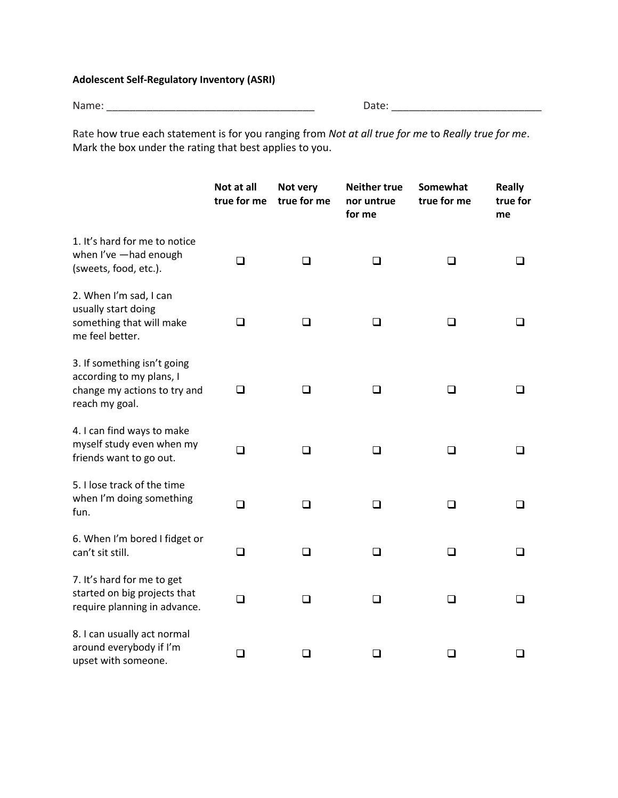## **Adolescent Self-Regulatory Inventory (ASRI)**

Name: \_\_\_\_\_\_\_\_\_\_\_\_\_\_\_\_\_\_\_\_\_\_\_\_\_\_\_\_\_\_\_\_\_\_\_\_ Date: \_\_\_\_\_\_\_\_\_\_\_\_\_\_\_\_\_\_\_\_\_\_\_\_\_\_

Rate how true each statement is for you ranging from *Not at all true for me* to *Really true for me*. Mark the box under the rating that best applies to you.

|                                                                                                           | Not at all<br>true for me | Not very<br>true for me | <b>Neither true</b><br>nor untrue<br>for me | Somewhat<br>true for me | <b>Really</b><br>true for<br>me |
|-----------------------------------------------------------------------------------------------------------|---------------------------|-------------------------|---------------------------------------------|-------------------------|---------------------------------|
| 1. It's hard for me to notice<br>when I've -had enough<br>(sweets, food, etc.).                           | $\Box$                    | □                       | $\Box$                                      | ❏                       | ⊔                               |
| 2. When I'm sad, I can<br>usually start doing<br>something that will make<br>me feel better.              | $\Box$                    | ❏                       | $\Box$                                      | $\Box$                  | ◻                               |
| 3. If something isn't going<br>according to my plans, I<br>change my actions to try and<br>reach my goal. | ❏                         | ❏                       | $\Box$                                      | ❏                       | ப                               |
| 4. I can find ways to make<br>myself study even when my<br>friends want to go out.                        | $\Box$                    | ❏                       | $\Box$                                      | $\Box$                  | ❏                               |
| 5. I lose track of the time<br>when I'm doing something<br>fun.                                           | $\Box$                    | $\Box$                  | $\Box$                                      | $\Box$                  | □                               |
| 6. When I'm bored I fidget or<br>can't sit still.                                                         | ❏                         | ❏                       | □                                           | ❏                       | ப                               |
| 7. It's hard for me to get<br>started on big projects that<br>require planning in advance.                | ❏                         | □                       | $\Box$                                      | $\Box$                  | □                               |
| 8. I can usually act normal<br>around everybody if I'm<br>upset with someone.                             | $\Box$                    | $\Box$                  | $\Box$                                      | $\Box$                  | ◻                               |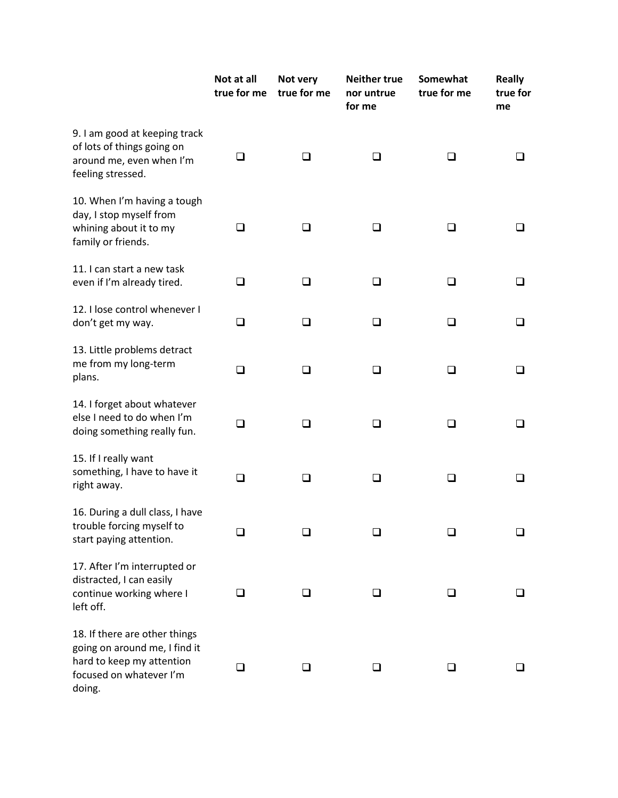|                                                                                                                                  | Not at all<br>true for me | Not very<br>true for me | <b>Neither true</b><br>nor untrue<br>for me | Somewhat<br>true for me | <b>Really</b><br>true for<br>me |
|----------------------------------------------------------------------------------------------------------------------------------|---------------------------|-------------------------|---------------------------------------------|-------------------------|---------------------------------|
| 9. I am good at keeping track<br>of lots of things going on<br>around me, even when I'm<br>feeling stressed.                     | $\Box$                    | ❏                       | □                                           | □                       | ❏                               |
| 10. When I'm having a tough<br>day, I stop myself from<br>whining about it to my<br>family or friends.                           | ⊔                         | ❏                       | ப                                           | ❏                       | ப                               |
| 11. I can start a new task<br>even if I'm already tired.                                                                         | ❏                         | ❏                       | □                                           | $\Box$                  | ப                               |
| 12. I lose control whenever I<br>don't get my way.                                                                               | ❏                         | ❏                       | ப                                           | ப                       | ப                               |
| 13. Little problems detract<br>me from my long-term<br>plans.                                                                    | ❏                         | □                       | ப                                           | ◻                       | ப                               |
| 14. I forget about whatever<br>else I need to do when I'm<br>doing something really fun.                                         | $\Box$                    | $\Box$                  | $\Box$                                      | $\Box$                  | ப                               |
| 15. If I really want<br>something, I have to have it<br>right away.                                                              | ❏                         | ❏                       | ❏                                           | ப                       | ப                               |
| 16. During a dull class, I have<br>trouble forcing myself to<br>start paying attention.                                          | ❏                         | ❏                       | ❏                                           | ❏                       | $\Box$                          |
| 17. After I'm interrupted or<br>distracted, I can easily<br>continue working where I<br>left off.                                | ப                         | □                       | ப                                           | □                       | ப                               |
| 18. If there are other things<br>going on around me, I find it<br>hard to keep my attention<br>focused on whatever I'm<br>doing. | ப                         | ⊔                       | ப                                           | ப                       |                                 |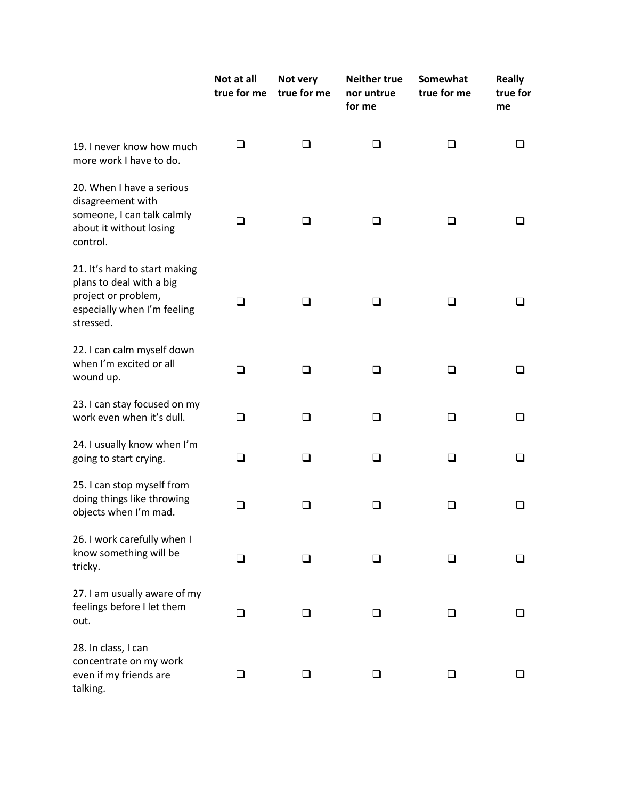|                                                                                                                              | Not at all<br>true for me | Not very<br>true for me | <b>Neither true</b><br>nor untrue<br>for me | Somewhat<br>true for me | <b>Really</b><br>true for<br>me |
|------------------------------------------------------------------------------------------------------------------------------|---------------------------|-------------------------|---------------------------------------------|-------------------------|---------------------------------|
| 19. I never know how much<br>more work I have to do.                                                                         | □                         | ❏                       | ◻                                           | □                       | ப                               |
| 20. When I have a serious<br>disagreement with<br>someone, I can talk calmly<br>about it without losing<br>control.          | ◻                         | □                       | ◻                                           | □                       | $\overline{\phantom{a}}$        |
| 21. It's hard to start making<br>plans to deal with a big<br>project or problem,<br>especially when I'm feeling<br>stressed. | ◻                         | □                       | ◻                                           | ◻                       | ⊔                               |
| 22. I can calm myself down<br>when I'm excited or all<br>wound up.                                                           | ❏                         | ❏                       | ⊔                                           | ப                       | ⊔                               |
| 23. I can stay focused on my<br>work even when it's dull.                                                                    | ◻                         | □                       | ◻                                           | ◻                       | ◻                               |
| 24. I usually know when I'm<br>going to start crying.                                                                        | ◻                         | ❏                       | ◻                                           | □                       | ❏                               |
| 25. I can stop myself from<br>doing things like throwing<br>objects when I'm mad.                                            | ◻                         | ❏                       | ◻                                           | □                       | ப                               |
| 26. I work carefully when I<br>know something will be<br>tricky.                                                             | ப                         | ப                       | ப                                           | ப                       | ⊔                               |
| 27. I am usually aware of my<br>feelings before I let them<br>out.                                                           | □                         | ❏                       | ⊔                                           | ப                       | ப                               |
| 28. In class, I can<br>concentrate on my work<br>even if my friends are<br>talking.                                          | ❏                         | $\Box$                  | □                                           | $\Box$                  | ப                               |